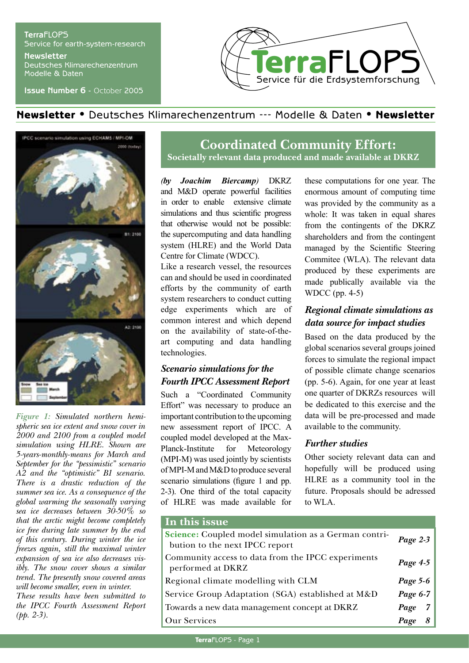#### **Terra**FLOPS Service for earth-system-research **Newsletter**

Deutsches Klimarechenzentrum Modelle & Daten

**Issue Number 6** - October 2005



# Newsletter • Deutsches Klimarechenzentrum --- Modelle & Daten • Newsletter



*Figure 1: Simulated northern hemispheric sea ice extent and snow cover in 2000 and 2100 from a coupled model simulation using HLRE. Shown are 5-years-monthly-means for March and September for the "pessimistic" scenario A2 and the "optimistic" B1 scenario. There is a drastic reduction of the summer sea ice. As a consequence of the global warming the seasonally varying sea ice decreases between 30-50% so that the arctic might become completely ice free during late summer by the end of this century. During winter the ice freezes again, still the maximal winter expansion of sea ice also decreases visibly. The snow cover shows a similar trend. The presently snow covered areas will become smaller, even in winter. These results have been submitted to the IPCC Fourth Assessment Report (pp. 2-3).*

# **Coordinated Community Effort: Societally relevant data produced and made available at DKRZ**

*(by Joachim Biercamp)* DKRZ and M&D operate powerful facilities in order to enable extensive climate simulations and thus scientific progress that otherwise would not be possible: the supercomputing and data handling system (HLRE) and the World Data Centre for Climate (WDCC).

Like a research vessel, the resources can and should be used in coordinated efforts by the community of earth system researchers to conduct cutting edge experiments which are of common interest and which depend on the availability of state-of-theart computing and data handling technologies.

### *Scenario simulations for the Fourth IPCC Assessment Report*

Such a "Coordinated Community Effort" was necessary to produce an important contribution to the upcoming new assessment report of IPCC. A coupled model developed at the Max-Planck-Institute for Meteorology (MPI-M) was used jointly by scientists of MPI-M and M&D to produce several scenario simulations (figure 1 and pp. 2-3). One third of the total capacity of HLRE was made available for these computations for one year. The enormous amount of computing time was provided by the community as a whole: It was taken in equal shares from the contingents of the DKRZ shareholders and from the contingent managed by the Scientific Steering Commitee (WLA). The relevant data produced by these experiments are made publically available via the WDCC (pp. 4-5)

## *Regional climate simulations as data source for impact studies*

Based on the data produced by the global scenarios several groups joined forces to simulate the regional impact of possible climate change scenarios (pp. 5-6). Again, for one year at least one quarter of DKRZs resources will be dedicated to this exercise and the data will be pre-processed and made available to the community.

### *Further studies*

Other society relevant data can and hopefully will be produced using HLRE as a community tool in the future. Proposals should be adressed to WLA.

### **In this issue**

| <b>THE CHILD ISSUE</b>                                                                  |                        |
|-----------------------------------------------------------------------------------------|------------------------|
| Science: Coupled model simulation as a German contri-<br>bution to the next IPCC report | Page $2-3$             |
| Community access to data from the IPCC experiments<br>performed at DKRZ                 | Page 4-5               |
| Regional climate modelling with CLM                                                     | Page 5-6               |
| Service Group Adaptation (SGA) established at M&D                                       | Page 6-7               |
| Towards a new data management concept at DKRZ                                           | 7 <sup>1</sup><br>Page |
| <b>Our Services</b>                                                                     | Page                   |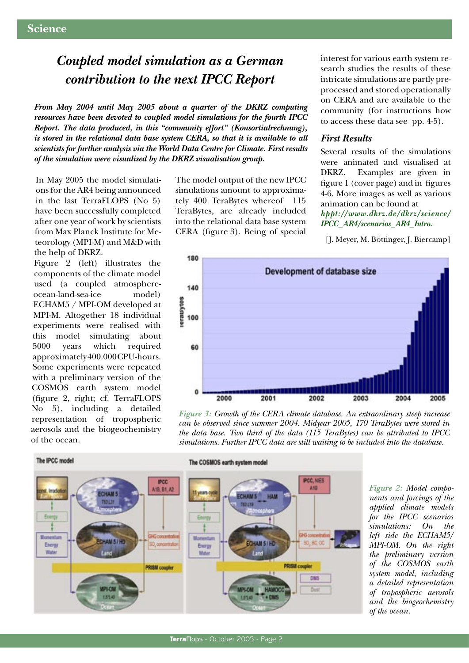# *Coupled model simulation as a German contribution to the next IPCC Report*

*From May 2004 until May 2005 about a quarter of the DKRZ computing resources have been devoted to coupled model simulations for the fourth IPCC Report. The data produced, in this "community effort" (Konsortialrechnung), is stored in the relational data base system CERA, so that it is available to all scientists for further analysis via the World Data Centre for Climate. First results of the simulation were visualised by the DKRZ visualisation group.*

In May 2005 the model simulations for the AR4 being announced in the last TerraFLOPS (No 5) have been successfully completed after one year of work by scientists from Max Planck Institute for Meteorology (MPI-M) and M&D with the help of DKRZ.

Figure 2 (left) illustrates the components of the climate model used (a coupled atmosphereocean-land-sea-ice model) ECHAM5 / MPI-OM developed at MPI-M. Altogether 18 individual experiments were realised with this model simulating about 5000 years which required approximately 400.000 CPU-hours. Some experiments were repeated with a preliminary version of the COSMOS earth system model (figure 2, right; cf. TerraFLOPS No 5), including a detailed representation of tropospheric aerosols and the biogeochemistry of the ocean.

The model output of the new IPCC simulations amount to approximately 400 TeraBytes whereof 115 TeraBytes, are already included into the relational data base system CERA (figure 3). Being of special

interest for various earth system research studies the results of these intricate simulations are partly preprocessed and stored operationally on CERA and are available to the community (for instructions how to access these data see pp. 4-5).

#### *First Results*

Several results of the simulations were animated and visualised at DKRZ. Examples are given in figure 1 (cover page) and in figures 4-6. More images as well as various animation can be found at *hppt://www.dkrz.de/dkrz/science/ IPCC\_AR4/scenarios\_AR4\_Intro.*

[J. Meyer, M. Böttinger, J. Biercamp]



*Figure 3: Growth of the CERA climate database. An extraordinary steep increase can be observed since summer 2004. Midyear 2005, 170 TeraBytes were stored in the data base. Two third of the data (115 TeraBytes) can be attributed to IPCC simulations. Further IPCC data are still waiting to be included into the database.*



*Figure 2: Model components and forcings of the applied climate models for the IPCC scenarios simulations: On the left side the ECHAM5/ MPI-OM. On the right the preliminary version of the COSMOS earth system model, including a detailed representation of tropospheric aerosols and the biogeochemistry of the ocean.*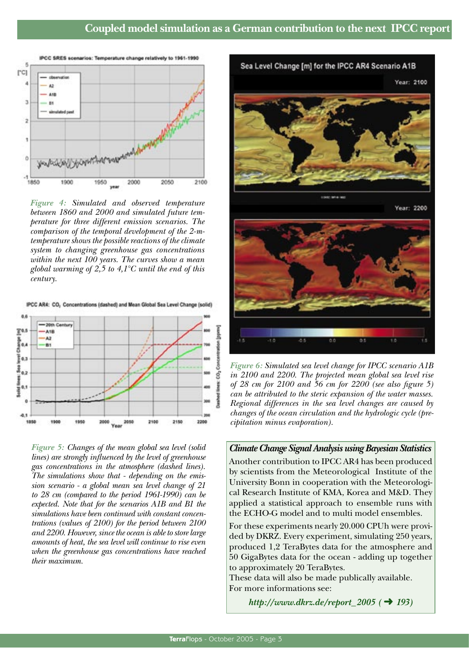

*Figure 4: Simulated and observed temperature between 1860 and 2000 and simulated future temperature for three different emission scenarios. The comparison of the temporal development of the 2-mtemperature shows the possible reactions of the climate system to changing greenhouse gas concentrations within the next 100 years. The curves show a mean global warming of 2,5 to 4,1°C until the end of this century.*

IPCC AR4: CO, Concentrations (dashed) and Mean Global Sea Level Change (solid)



*Figure 5: Changes of the mean global sea level (solid lines) are strongly influenced by the level of greenhouse gas concentrations in the atmosphere (dashed lines). The simulations show that - depending on the emission scenario - a global mean sea level change of 21 to 28 cm (compared to the period 1961-1990) can be expected. Note that for the scenarios A1B and B1 the simulations have been continued with constant concentrations (values of 2100) for the period between 2100 and 2200. However, since the ocean is able to store large amounts of heat, the sea level will continue to rise even when the greenhouse gas concentrations have reached their maximum.* 



*Figure 6: Simulated sea level change for IPCC scenario A1B in 2100 and 2200. The projected mean global sea level rise of 28 cm for 2100 and 56 cm for 2200 (see also figure 5) can be attributed to the steric expansion of the water masses. Regional differences in the sea level changes are caused by changes of the ocean circulation and the hydrologic cycle (precipitation minus evaporation).*

#### *Climate Change Signal Analysis using Bayesian Statistics*

Another contribution to IPCC AR4 has been produced by scientists from the Meteorological Institute of the University Bonn in cooperation with the Meteorological Research Institute of KMA, Korea and M&D. They applied a statistical approach to ensemble runs with the ECHO-G model and to multi model ensembles.

For these experiments nearly 20.000 CPUh were provided by DKRZ. Every experiment, simulating 250 years, produced 1,2 TeraBytes data for the atmosphere and 50 GigaBytes data for the ocean - adding up together to approximately 20 TeraBytes.

These data will also be made publically available. For more informations see:

*http://www.dkrz.de/report\_2005 (* ➜ *193)*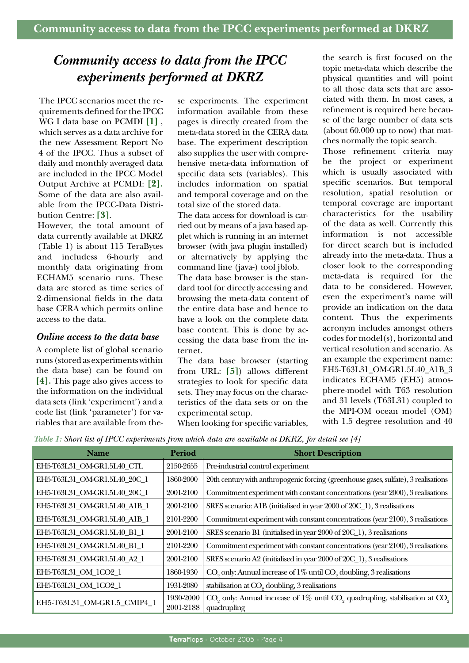# *Community access to data from the IPCC experiments performed at DKRZ*

The IPCC scenarios meet the requirements defined for the IPCC WG I data base on PCMDI **[1]** , which serves as a data archive for the new Assessment Report No 4 of the IPCC. Thus a subset of daily and monthly averaged data are included in the IPCC Model Output Archive at PCMDI: **[2]***.*  Some of the data are also available from the IPCC-Data Distribution Centre: **[3]**.

However, the total amount of data currently available at DKRZ (Table 1) is about 115 TeraBytes and includess 6-hourly and monthly data originating from ECHAM5 scenario runs. These data are stored as time series of 2-dimensional fields in the data base CERA which permits online access to the data.

#### *Online access to the data base*

A complete list of global scenario runs (stored as experiments within the data base) can be found on **[4]***.* This page also gives access to the information on the individual data sets (link 'experiment') and a code list (link 'parameter') for variables that are available from these experiments. The experiment information available from these pages is directly created from the meta-data stored in the CERA data base. The experiment description also supplies the user with comprehensive meta-data information of specific data sets (variables). This includes information on spatial and temporal coverage and on the total size of the stored data.

The data access for download is carried out by means of a java based applet which is running in an internet browser (with java plugin installed) or alternatively by applying the command line (java-) tool jblob. The data base browser is the standard tool for directly accessing and browsing the meta-data content of the entire data base and hence to have a look on the complete data base content. This is done by accessing the data base from the internet.

The data base browser (starting from URL: **[5]**) allows different strategies to look for specific data sets. They may focus on the characteristics of the data sets or on the experimental setup. When looking for specific variables,

the search is first focused on the topic meta-data which describe the physical quantities and will point to all those data sets that are associated with them. In most cases, a refinement is required here because of the large number of data sets (about 60.000 up to now) that matches normally the topic search.

Those refinement criteria may be the project or experiment which is usually associated with specific scenarios. But temporal resolution, spatial resolution or temporal coverage are important characteristics for the usability of the data as well. Currently this information is not accessible for direct search but is included already into the meta-data. Thus a closer look to the corresponding meta-data is required for the data to be considered. However, even the experiment's name will provide an indication on the data content. Thus the experiments acronym includes amongst others codes for model(s), horizontal and vertical resolution and scenario. As an example the experiment name: EH5-T63L31\_OM-GR1.5L40\_A1B\_3 indicates ECHAM5 (EH5) atmosphere-model with T63 resolution and 31 levels (T63L31) coupled to the MPI-OM ocean model (OM) with 1.5 degree resolution and 40

*Table 1: Short list of IPCC experiments from which data are available at DKRZ, for detail see [4]*

| <b>Name</b>                  | Period                 | <b>Short Description</b>                                                                         |
|------------------------------|------------------------|--------------------------------------------------------------------------------------------------|
| EH5-T63L31_OM-GR1.5L40_CTL   | 2150-2655              | Pre-industrial control experiment                                                                |
| EH5-T63L31_OM-GR1.5L40_20C_1 | 1860-2000              | 20th century with anthropogenic forcing (greenhouse gases, sulfate), 3 realisations              |
| EH5-T63L31_OM-GR1.5L40_20C_1 | 2001-2100              | Commitment experiment with constant concentrations (year 2000), 3 realisations                   |
| EH5-T63L31_OM-GR1.5L40_A1B_1 | 2001-2100              | SRES scenario: A1B (initialised in year 2000 of 20C_1), 3 realisations                           |
| EH5-T63L31_OM-GR1.5L40_A1B_1 | 2101-2200              | Commitment experiment with constant concentrations (year 2100), 3 realisations                   |
| EH5-T63L31_OM-GR1.5L40_B1_1  | 2001-2100              | SRES scenario B1 (initialised in year 2000 of 20C_1), 3 realisations                             |
| EH5-T63L31 OM-GR1.5L40 B1 1  | 2101-2200              | Commitment experiment with constant concentrations (year 2100), 3 realisations                   |
| EH5-T63L31 OM-GR1.5L40 A2 1  | 2001-2100              | SRES scenario A2 (initialised in year 2000 of 20C_1), 3 realisations                             |
| EH5-T63L31_OM_1CO2_1         | 1860-1930              | CO <sub>2</sub> only: Annual increase of 1% until CO <sub>2</sub> doubling, 3 realisations       |
| EH5-T63L31_OM_1CO2_1         | 1931-2080              | stabilisation at CO <sub>2</sub> doubling, 3 realisations                                        |
| EH5-T63L31_OM-GR1.5_CMIP4_1  | 1930-2000<br>2001-2188 | $CO2$ only: Annual increase of 1% until $CO2$ quadrupling, stabilisation at $CO2$<br>quadrupling |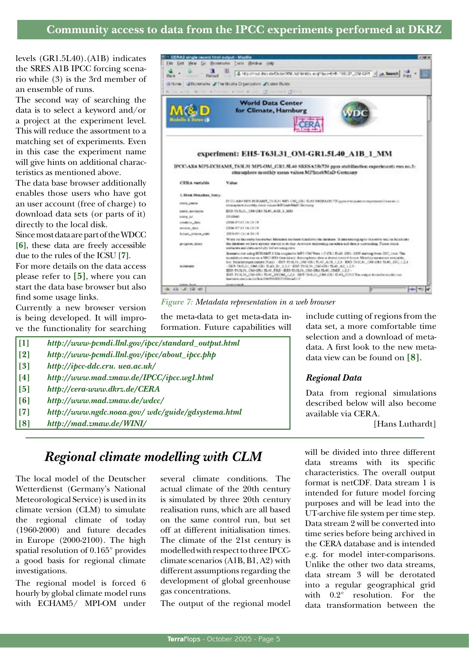# **Community access to data from the IPCC experiments performed at DKRZ**

levels (GR1.5L40).(A1B) indicates the SRES A1B IPCC forcing scenario while (3) is the 3rd member of an ensemble of runs.

The second way of searching the data is to select a keyword and/or a project at the experiment level. This will reduce the assortment to a matching set of experiments. Even in this case the experiment name will give hints on additional characteristics as mentioned above.

The data base browser additionally enables those users who have got an user account (free of charge) to download data sets (or parts of it) directly to the local disk.

Since most data are part of the WDCC **[6]**, these data are freely accessible due to the rules of the ICSU **[7]**.

For more details on the data access please refer to **[5]**, where you can start the data base browser but also find some usage links.

Currently a new browser version is being developed. It will improve the functionality for searching



*Figure 7: Metadata representation in a web browser*

the meta-data to get meta-data information. Future capabilities will

| $[1]$             | http://www-pcmdi.llnl.gov/ipcc/standard_output.html |  |
|-------------------|-----------------------------------------------------|--|
| $\lceil 2 \rceil$ | http://www-pcmdi.llnl.gov/ipcc/about_ipcc.php       |  |
| $\lceil 3 \rceil$ | http://ipcc-ddc.cru.uea.ac.uk/                      |  |
| [4]               | http://www.mad.zmaw.de/IPCC/ipcc.wg1.html           |  |
| $\lceil 5 \rceil$ | http://cera-www.dkrz.de/CERA                        |  |
| [6]               | http://www.mad.zmaw.de/wdcc/                        |  |
| $\lceil 7 \rceil$ | http://www.ngdc.noaa.gov/ wdc/guide/gdsystema.html  |  |
| [8]               | http://mad.zmaw.de/WINI/                            |  |
|                   |                                                     |  |

include cutting of regions from the data set, a more comfortable time selection and a download of metadata. A first look to the new metadata view can be found on **[8]**.

#### *Regional Data*

Data from regional simulations described below will also become available via CERA.

[Hans Luthardt]

# *Regional climate modelling with CLM*

The local model of the Deutscher Wetterdienst (Germany's National Meteorological Service) is used in its climate version (CLM) to simulate the regional climate of today (1960-2000) and future decades in Europe (2000-2100). The high spatial resolution of 0.165° provides a good basis for regional climate investigations.

The regional model is forced 6 hourly by global climate model runs with ECHAM5/ MPI-OM under several climate conditions. The actual climate of the 20th century is simulated by three 20th century realisation runs, which are all based on the same control run, but set off at different initialisation times. The climate of the 21st century is modelled with respect to three IPCCclimate scenarios (A1B, B1, A2) with different assumptions regarding the development of global greenhouse gas concentrations.

The output of the regional model

will be divided into three different data streams with its specific characteristics. The overall output format is netCDF. Data stream 1 is intended for future model forcing purposes and will be lead into the UT-archive file system per time step. Data stream 2 will be converted into time series before being archived in the CERA database and is intended e.g. for model inter-comparisons. Unlike the other two data streams, data stream 3 will be derotated into a regular geographical grid with 0.2° resolution. For the data transformation between the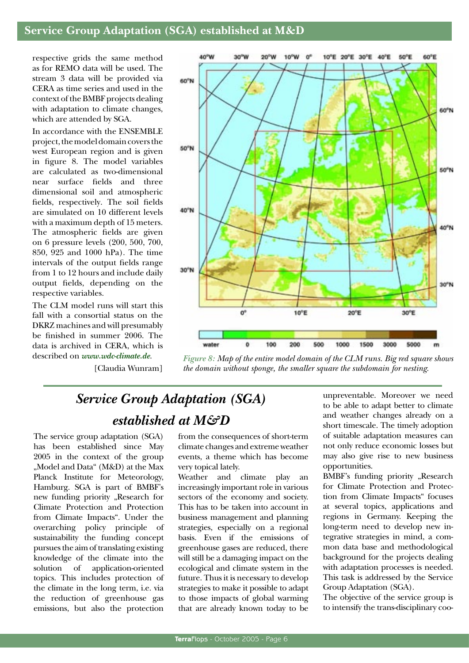# **Service Group Adaptation (SGA) established at M&D**

respective grids the same method as for REMO data will be used. The stream 3 data will be provided via CERA as time series and used in the context of the BMBF projects dealing with adaptation to climate changes, which are attended by SGA.

In accordance with the ENSEMBLE project, the model domain covers the west European region and is given in figure 8. The model variables are calculated as two-dimensional near surface fields and three dimensional soil and atmospheric fields, respectively. The soil fields are simulated on 10 different levels with a maximum depth of 15 meters. The atmospheric fields are given on 6 pressure levels (200, 500, 700, 850, 925 and 1000 hPa). The time intervals of the output fields range from 1 to 12 hours and include daily output fields, depending on the respective variables.

The CLM model runs will start this fall with a consortial status on the DKRZ machines and will presumably be finished in summer 2006. The data is archived in CERA, which is described on *www.wdc-climate.de*.

[Claudia Wunram]



*Figure 8: Map of the entire model domain of the CLM runs. Big red square shows the domain without sponge, the smaller square the subdomain for nesting.*

# *Service Group Adaptation (SGA) established at M&D*

The service group adaptation (SGA) has been established since May 2005 in the context of the group "Model and Data" (M&D) at the Max Planck Institute for Meteorology, Hamburg. SGA is part of BMBF's new funding priority "Research for Climate Protection and Protection from Climate Impacts". Under the overarching policy principle of sustainability the funding concept pursues the aim of translating existing knowledge of the climate into the solution of application-oriented topics. This includes protection of the climate in the long term, i.e. via the reduction of greenhouse gas emissions, but also the protection

from the consequences of short-term climate changes and extreme weather events, a theme which has become very topical lately.

Weather and climate play an increasingly important role in various sectors of the economy and society. This has to be taken into account in business management and planning strategies, especially on a regional basis. Even if the emissions of greenhouse gases are reduced, there will still be a damaging impact on the ecological and climate system in the future. Thus it is necessary to develop strategies to make it possible to adapt to those impacts of global warming that are already known today to be

unpreventable. Moreover we need to be able to adapt better to climate and weather changes already on a short timescale. The timely adoption of suitable adaptation measures can not only reduce economic losses but may also give rise to new business opportunities.

BMBF's funding priority "Research for Climate Protection and Protection from Climate Impacts" focuses at several topics, applications and regions in Germany. Keeping the long-term need to develop new integrative strategies in mind, a common data base and methodological background for the projects dealing with adaptation processes is needed. This task is addressed by the Service Group Adaptation (SGA).

The objective of the service group is to intensify the trans-disciplinary coo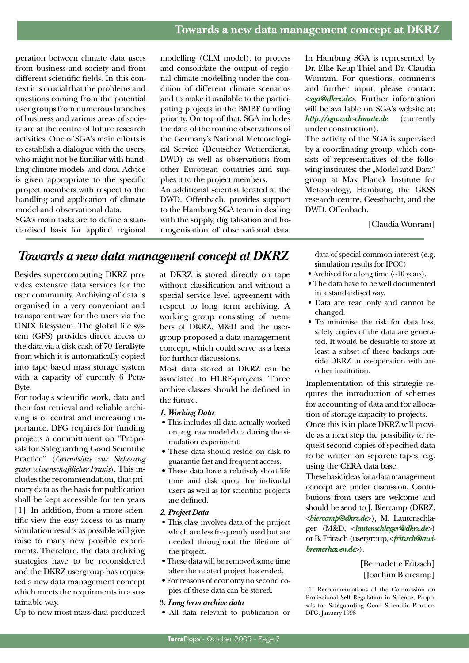peration between climate data users from business and society and from different scientific fields. In this context it is crucial that the problems and questions coming from the potential user groups from numerous branches of business and various areas of society are at the centre of future research activities. One of SGA's main efforts is to establish a dialogue with the users, who might not be familiar with handling climate models and data. Advice is given appropriate to the specific project members with respect to the handling and application of climate model and observational data.

SGA's main tasks are to define a standardised basis for applied regional modelling (CLM model), to process and consolidate the output of regional climate modelling under the condition of different climate scenarios and to make it available to the participating projects in the BMBF funding priority. On top of that, SGA includes the data of the routine observations of the Germany's National Meteorological Service (Deutscher Wetterdienst, DWD) as well as observations from other European countries and supplies it to the project members.

An additional scientist located at the DWD, Offenbach, provides support to the Hamburg SGA team in dealing with the supply, digitalisation and homogenisation of observational data.

In Hamburg SGA is represented by Dr. Elke Keup-Thiel and Dr. Claudia Wunram. For questions, comments and further input, please contact: <*sga@dkrz.de*>. Further information will be available on SGA's website at: *http://sga.wdc-climate.de* (currently under construction).

The activity of the SGA is supervised by a coordinating group, which consists of representatives of the following institutes: the "Model and Data" group at Max Planck Institute for Meteorology, Hamburg, the GKSS research centre, Geesthacht, and the DWD, Offenbach.

[Claudia Wunram]

# *Towards a new data management concept at DKRZ*

Besides supercomputing DKRZ provides extensive data services for the user community. Archiving of data is organised in a very conveniant and transparent way for the users via the UNIX filesystem. The global file system (GFS) provides direct access to the data via a disk cash of 70 TeraByte from which it is automatically copied into tape based mass storage system with a capacity of curently 6 Peta-Byte.

For today's scientific work, data and their fast retrieval and reliable archiving is of central and increasing importance. DFG requires for funding projects a committment on "Proposals for Safeguarding Good Scientific Practice" (*Grundsätze zur Sicherung guter wissenschaftlicher Praxis*). This includes the recommendation, that primary data as the basis for publication shall be kept accessible for ten years [1]. In addition, from a more scientific view the easy access to as many simulation results as possible will give raise to many new possible experiments. Therefore, the data archiving strategies have to be reconsidered and the DKRZ usergroup has requested a new data management concept which meets the requirments in a sustainable way.

at DKRZ is stored directly on tape without classification and without a special service level agreement with respect to long term archiving. A working group consisting of members of DKRZ, M&D and the usergroup proposed a data management concept, which could serve as a basis for further discussions.

Most data stored at DKRZ can be associated to HLRE-projects. Three archive classes should be defined in the future.

#### *1. Working Data*

- This includes all data actually worked on, e.g. raw model data during the simulation experiment.
- These data should reside on disk to guarantie fast and frequent access.
- These data have a relatively short life time and disk quota for indivudal users as well as for scientific projects are defined.
- *2. Project Data*
- This class involves data of the project which are less frequently used but are needed throughout the lifetime of the project.
- These data will be removed some time after the related project has ended.
- For reasons of economy no second copies of these data can be stored.
- 3*. Long term archive data*
- All data relevant to publication or

data of special common interest (e.g. simulation results for IPCC)

- Archived for a long time  $(20 \text{ years})$ .
- The data have to be well documented in a standardised way.
- Data are read only and cannot be changed.
- To minimise the risk for data loss, safety copies of the data are generated. It would be desirable to store at least a subset of these backups outside DKRZ in co-operation with another institution.

Implementation of this strategie requires the introduction of schemes for accounting of data and for allocation of storage capacity to projects.

Once this is in place DKRZ will provide as a next step the possibility to request second copies of specified data to be written on separete tapes, e.g. using the CERA data base.

These basic ideas for a data management concept are under discussion. Contributions from users are welcome and should be send to J. Biercamp (DKRZ, <*biercamp@dkrz.de*>), M. Lautenschlager (M&D, <*lautenschlager@dkrz.de*>) or B. Fritzsch (usergroup, <*fritzsch@awibremerhaven.de*>).

> [Bernadette Fritzsch] [Joachim Biercamp]

[1] Recommendations of the Commission on Professional Self Regulation in Science, Proposals for Safeguarding Good Scientific Practice, DFG, January 1998

Up to now most mass data produced